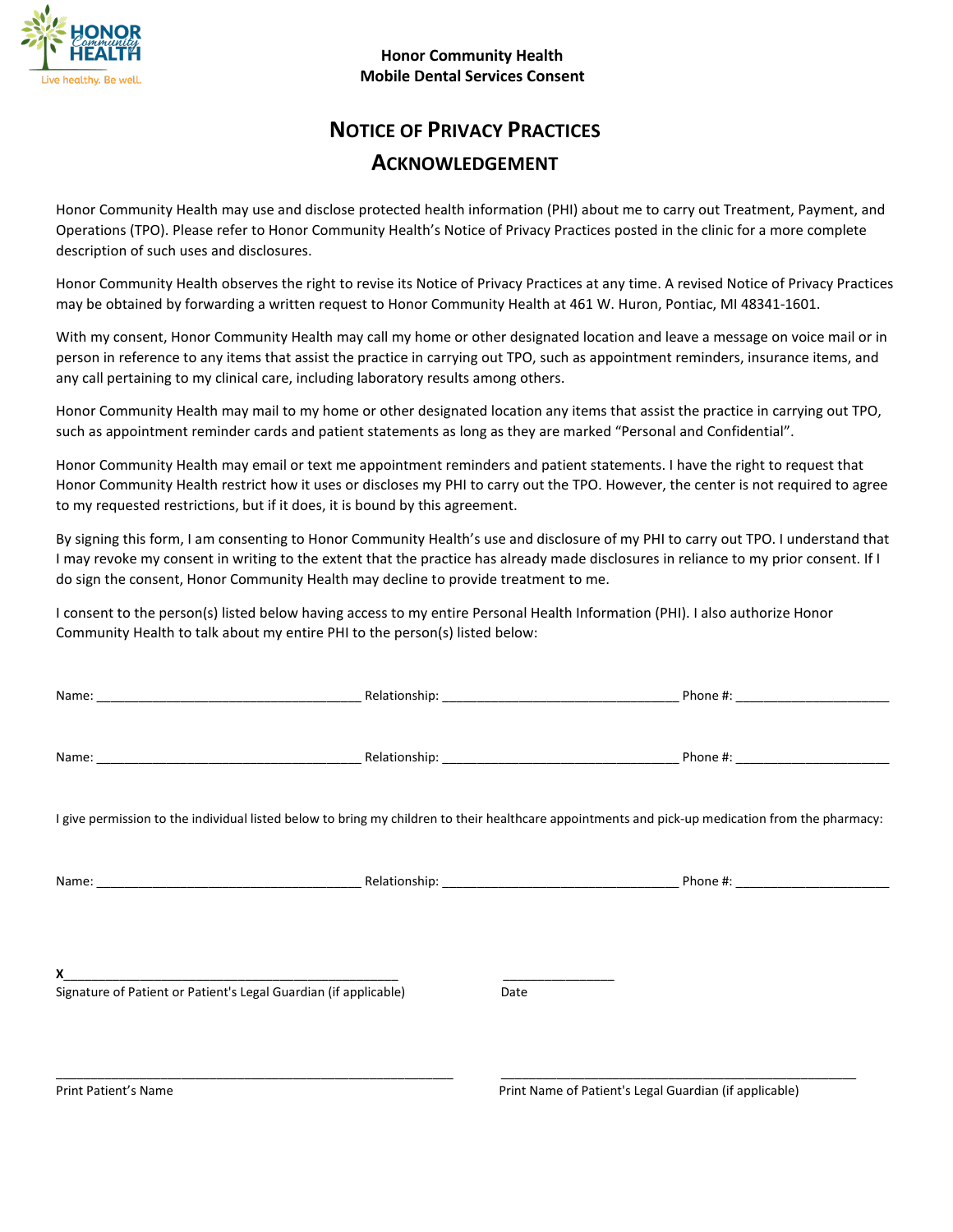

#### **Honor Community Health Mobile Dental Services Consent**

# **NOTICE OF PRIVACY PRACTICES ACKNOWLEDGEMENT**

Honor Community Health may use and disclose protected health information (PHI) about me to carry out Treatment, Payment, and Operations (TPO). Please refer to Honor Community Health's Notice of Privacy Practices posted in the clinic for a more complete description of such uses and disclosures.

Honor Community Health observes the right to revise its Notice of Privacy Practices at any time. A revised Notice of Privacy Practices may be obtained by forwarding a written request to Honor Community Health at 461 W. Huron, Pontiac, MI 48341-1601.

With my consent, Honor Community Health may call my home or other designated location and leave a message on voice mail or in person in reference to any items that assist the practice in carrying out TPO, such as appointment reminders, insurance items, and any call pertaining to my clinical care, including laboratory results among others.

Honor Community Health may mail to my home or other designated location any items that assist the practice in carrying out TPO, such as appointment reminder cards and patient statements as long as they are marked "Personal and Confidential".

Honor Community Health may email or text me appointment reminders and patient statements. I have the right to request that Honor Community Health restrict how it uses or discloses my PHI to carry out the TPO. However, the center is not required to agree to my requested restrictions, but if it does, it is bound by this agreement.

By signing this form, I am consenting to Honor Community Health's use and disclosure of my PHI to carry out TPO. I understand that I may revoke my consent in writing to the extent that the practice has already made disclosures in reliance to my prior consent. If I do sign the consent, Honor Community Health may decline to provide treatment to me.

I consent to the person(s) listed below having access to my entire Personal Health Information (PHI). I also authorize Honor Community Health to talk about my entire PHI to the person(s) listed below:

| I give permission to the individual listed below to bring my children to their healthcare appointments and pick-up medication from the pharmacy: |      |  |  |  |  |  |
|--------------------------------------------------------------------------------------------------------------------------------------------------|------|--|--|--|--|--|
|                                                                                                                                                  |      |  |  |  |  |  |
| X<br>Signature of Patient or Patient's Legal Guardian (if applicable)                                                                            | Date |  |  |  |  |  |
|                                                                                                                                                  |      |  |  |  |  |  |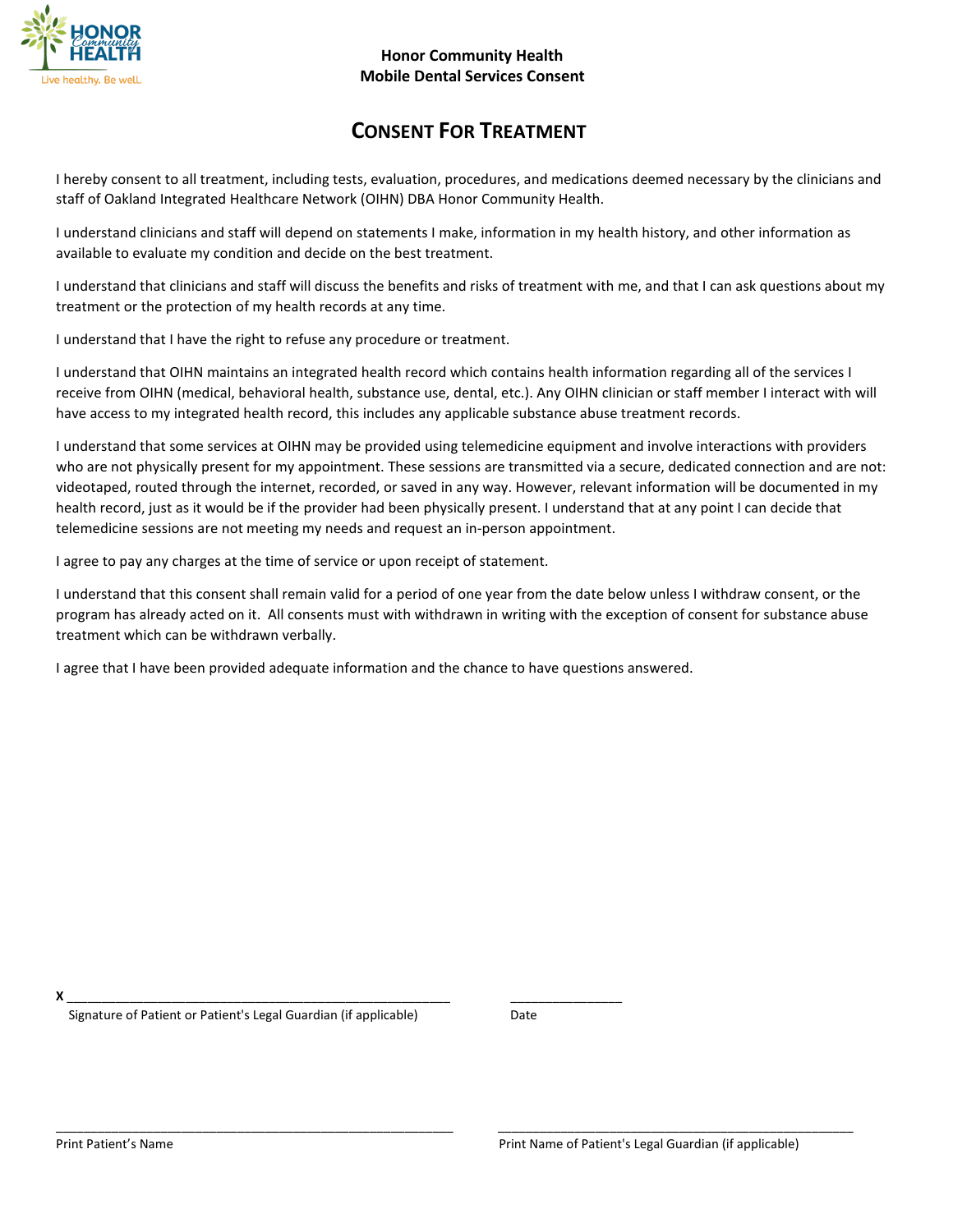

## **CONSENT FOR TREATMENT**

I hereby consent to all treatment, including tests, evaluation, procedures, and medications deemed necessary by the clinicians and staff of Oakland Integrated Healthcare Network (OIHN) DBA Honor Community Health.

I understand clinicians and staff will depend on statements I make, information in my health history, and other information as available to evaluate my condition and decide on the best treatment.

I understand that clinicians and staff will discuss the benefits and risks of treatment with me, and that I can ask questions about my treatment or the protection of my health records at any time.

I understand that I have the right to refuse any procedure or treatment.

I understand that OIHN maintains an integrated health record which contains health information regarding all of the services I receive from OIHN (medical, behavioral health, substance use, dental, etc.). Any OIHN clinician or staff member I interact with will have access to my integrated health record, this includes any applicable substance abuse treatment records.

I understand that some services at OIHN may be provided using telemedicine equipment and involve interactions with providers who are not physically present for my appointment. These sessions are transmitted via a secure, dedicated connection and are not: videotaped, routed through the internet, recorded, or saved in any way. However, relevant information will be documented in my health record, just as it would be if the provider had been physically present. I understand that at any point I can decide that telemedicine sessions are not meeting my needs and request an in-person appointment.

I agree to pay any charges at the time of service or upon receipt of statement.

I understand that this consent shall remain valid for a period of one year from the date below unless I withdraw consent, or the program has already acted on it. All consents must with withdrawn in writing with the exception of consent for substance abuse treatment which can be withdrawn verbally.

I agree that I have been provided adequate information and the chance to have questions answered.

**X** \_\_\_\_\_\_\_\_\_\_\_\_\_\_\_\_\_\_\_\_\_\_\_\_\_\_\_\_\_\_\_\_\_\_\_\_\_\_\_\_\_\_\_\_\_\_\_\_\_\_\_\_\_\_\_ \_\_\_\_\_\_\_\_\_\_\_\_\_\_\_\_

Signature of Patient or Patient's Legal Guardian (if applicable) Date

\_\_\_\_\_\_\_\_\_\_\_\_\_\_\_\_\_\_\_\_\_\_\_\_\_\_\_\_\_\_\_\_\_\_\_\_\_\_\_\_\_\_\_\_\_\_\_\_\_\_\_\_\_\_\_\_\_ \_\_\_\_\_\_\_\_\_\_\_\_\_\_\_\_\_\_\_\_\_\_\_\_\_\_\_\_\_\_\_\_\_\_\_\_\_\_\_\_\_\_\_\_\_\_\_\_\_\_\_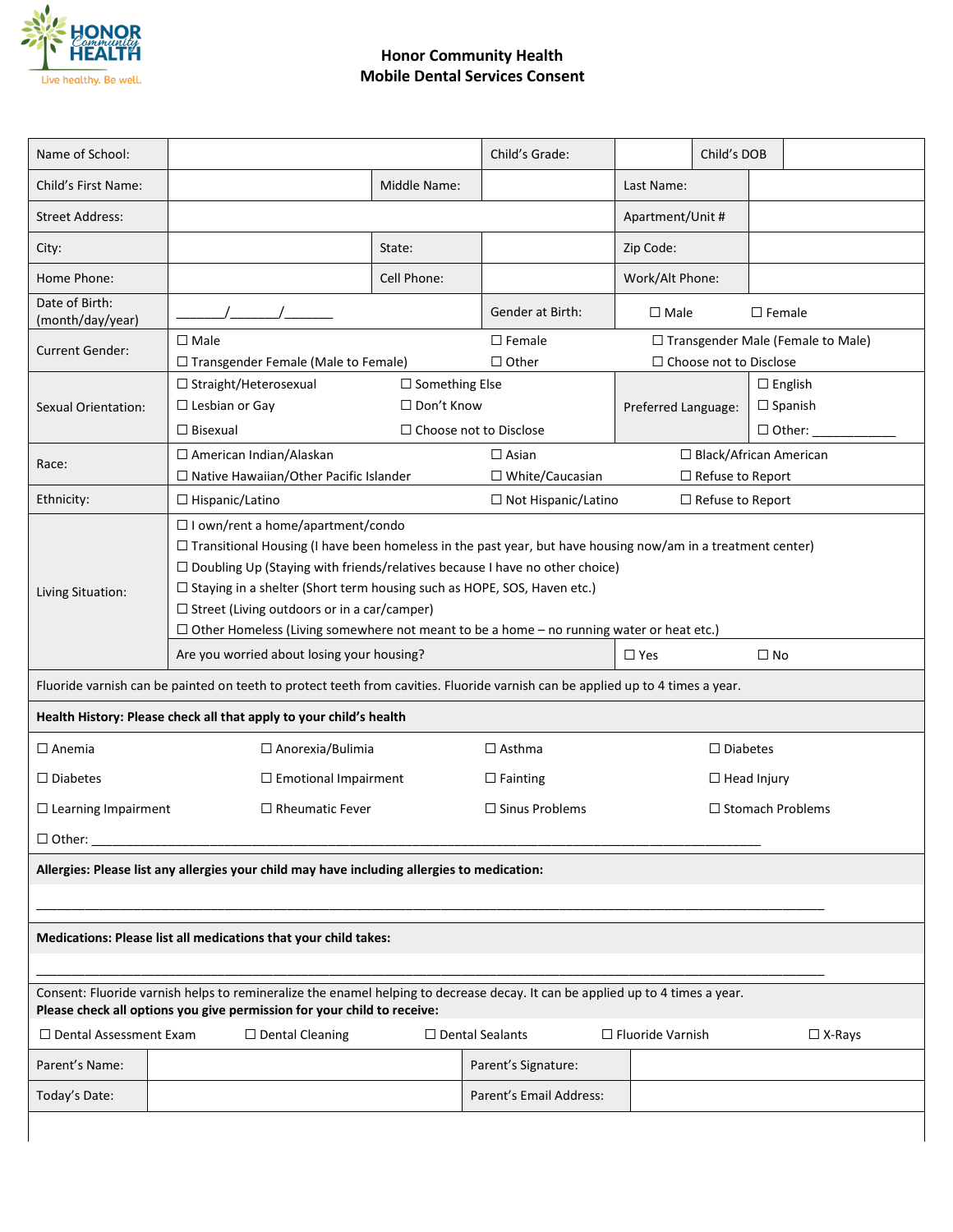

### **Honor Community Health Mobile Dental Services Consent**

| Name of School:                                                                                                                                                                                                                                                                                                                                                                                                                                                                                                      |                                                                                                                                |                                            | Child's Grade:                | Child's DOB                                        |                    |                                  |  |  |
|----------------------------------------------------------------------------------------------------------------------------------------------------------------------------------------------------------------------------------------------------------------------------------------------------------------------------------------------------------------------------------------------------------------------------------------------------------------------------------------------------------------------|--------------------------------------------------------------------------------------------------------------------------------|--------------------------------------------|-------------------------------|----------------------------------------------------|--------------------|----------------------------------|--|--|
| Child's First Name:                                                                                                                                                                                                                                                                                                                                                                                                                                                                                                  |                                                                                                                                | Middle Name:                               |                               | Last Name:                                         |                    |                                  |  |  |
| <b>Street Address:</b>                                                                                                                                                                                                                                                                                                                                                                                                                                                                                               |                                                                                                                                |                                            |                               | Apartment/Unit #                                   |                    |                                  |  |  |
| City:                                                                                                                                                                                                                                                                                                                                                                                                                                                                                                                |                                                                                                                                | State:                                     |                               | Zip Code:                                          |                    |                                  |  |  |
| Home Phone:                                                                                                                                                                                                                                                                                                                                                                                                                                                                                                          |                                                                                                                                | Cell Phone:                                |                               | Work/Alt Phone:                                    |                    |                                  |  |  |
| Date of Birth:<br>(month/day/year)                                                                                                                                                                                                                                                                                                                                                                                                                                                                                   |                                                                                                                                |                                            | Gender at Birth:              | $\Box$ Male                                        |                    | $\Box$ Female                    |  |  |
| <b>Current Gender:</b>                                                                                                                                                                                                                                                                                                                                                                                                                                                                                               | $\square$ Male                                                                                                                 |                                            | $\Box$ Female                 | □ Transgender Male (Female to Male)                |                    |                                  |  |  |
| □ Transgender Female (Male to Female)                                                                                                                                                                                                                                                                                                                                                                                                                                                                                |                                                                                                                                | $\Box$ Other                               | $\Box$ Choose not to Disclose |                                                    |                    |                                  |  |  |
|                                                                                                                                                                                                                                                                                                                                                                                                                                                                                                                      | $\Box$ Straight/Heterosexual<br>$\Box$ Lesbian or Gay                                                                          | $\Box$ Something Else<br>$\Box$ Don't Know |                               |                                                    |                    | $\Box$ English<br>$\Box$ Spanish |  |  |
| Sexual Orientation:                                                                                                                                                                                                                                                                                                                                                                                                                                                                                                  | $\Box$ Bisexual                                                                                                                | $\Box$ Choose not to Disclose              |                               | Preferred Language:                                |                    | $\Box$ Other:                    |  |  |
|                                                                                                                                                                                                                                                                                                                                                                                                                                                                                                                      |                                                                                                                                |                                            | $\Box$ Asian                  |                                                    |                    | □ Black/African American         |  |  |
| Race:                                                                                                                                                                                                                                                                                                                                                                                                                                                                                                                | □ American Indian/Alaskan<br>□ Native Hawaiian/Other Pacific Islander                                                          |                                            | $\Box$ White/Caucasian        |                                                    |                    |                                  |  |  |
| Ethnicity:                                                                                                                                                                                                                                                                                                                                                                                                                                                                                                           | $\Box$ Hispanic/Latino                                                                                                         |                                            | □ Not Hispanic/Latino         | $\Box$ Refuse to Report<br>$\Box$ Refuse to Report |                    |                                  |  |  |
| $\Box$ I own/rent a home/apartment/condo<br>$\Box$ Transitional Housing (I have been homeless in the past year, but have housing now/am in a treatment center)<br>$\Box$ Doubling Up (Staying with friends/relatives because I have no other choice)<br>$\Box$ Staying in a shelter (Short term housing such as HOPE, SOS, Haven etc.)<br>Living Situation:<br>$\Box$ Street (Living outdoors or in a car/camper)<br>$\Box$ Other Homeless (Living somewhere not meant to be a home – no running water or heat etc.) |                                                                                                                                |                                            |                               |                                                    |                    |                                  |  |  |
| Are you worried about losing your housing?                                                                                                                                                                                                                                                                                                                                                                                                                                                                           |                                                                                                                                |                                            |                               | $\square$ No<br>$\Box$ Yes                         |                    |                                  |  |  |
|                                                                                                                                                                                                                                                                                                                                                                                                                                                                                                                      | Fluoride varnish can be painted on teeth to protect teeth from cavities. Fluoride varnish can be applied up to 4 times a year. |                                            |                               |                                                    |                    |                                  |  |  |
|                                                                                                                                                                                                                                                                                                                                                                                                                                                                                                                      | Health History: Please check all that apply to your child's health                                                             |                                            |                               |                                                    |                    |                                  |  |  |
| $\Box$ Anorexia/Bulimia<br>$\Box$ Anemia                                                                                                                                                                                                                                                                                                                                                                                                                                                                             |                                                                                                                                | $\Box$ Asthma                              | $\Box$ Diabetes               |                                                    |                    |                                  |  |  |
| $\Box$ Diabetes                                                                                                                                                                                                                                                                                                                                                                                                                                                                                                      | $\Box$ Emotional Impairment                                                                                                    |                                            | $\Box$ Fainting               | $\Box$ Head Injury                                 |                    |                                  |  |  |
| $\Box$ Rheumatic Fever<br>$\Box$ Sinus Problems<br>$\Box$ Learning Impairment                                                                                                                                                                                                                                                                                                                                                                                                                                        |                                                                                                                                |                                            |                               |                                                    | □ Stomach Problems |                                  |  |  |
| $\Box$ Other:                                                                                                                                                                                                                                                                                                                                                                                                                                                                                                        |                                                                                                                                |                                            |                               |                                                    |                    |                                  |  |  |
| Allergies: Please list any allergies your child may have including allergies to medication:                                                                                                                                                                                                                                                                                                                                                                                                                          |                                                                                                                                |                                            |                               |                                                    |                    |                                  |  |  |
|                                                                                                                                                                                                                                                                                                                                                                                                                                                                                                                      |                                                                                                                                |                                            |                               |                                                    |                    |                                  |  |  |
| Medications: Please list all medications that your child takes:                                                                                                                                                                                                                                                                                                                                                                                                                                                      |                                                                                                                                |                                            |                               |                                                    |                    |                                  |  |  |
| Consent: Fluoride varnish helps to remineralize the enamel helping to decrease decay. It can be applied up to 4 times a year.<br>Please check all options you give permission for your child to receive:                                                                                                                                                                                                                                                                                                             |                                                                                                                                |                                            |                               |                                                    |                    |                                  |  |  |
| $\Box$ Dental Assessment Exam<br>$\Box$ Dental Sealants<br>$\Box$ Dental Cleaning<br>$\Box$ Fluoride Varnish<br>$\Box$ X-Rays                                                                                                                                                                                                                                                                                                                                                                                        |                                                                                                                                |                                            |                               |                                                    |                    |                                  |  |  |
| Parent's Name:                                                                                                                                                                                                                                                                                                                                                                                                                                                                                                       |                                                                                                                                |                                            | Parent's Signature:           |                                                    |                    |                                  |  |  |
| Today's Date:                                                                                                                                                                                                                                                                                                                                                                                                                                                                                                        |                                                                                                                                |                                            | Parent's Email Address:       |                                                    |                    |                                  |  |  |
|                                                                                                                                                                                                                                                                                                                                                                                                                                                                                                                      |                                                                                                                                |                                            |                               |                                                    |                    |                                  |  |  |